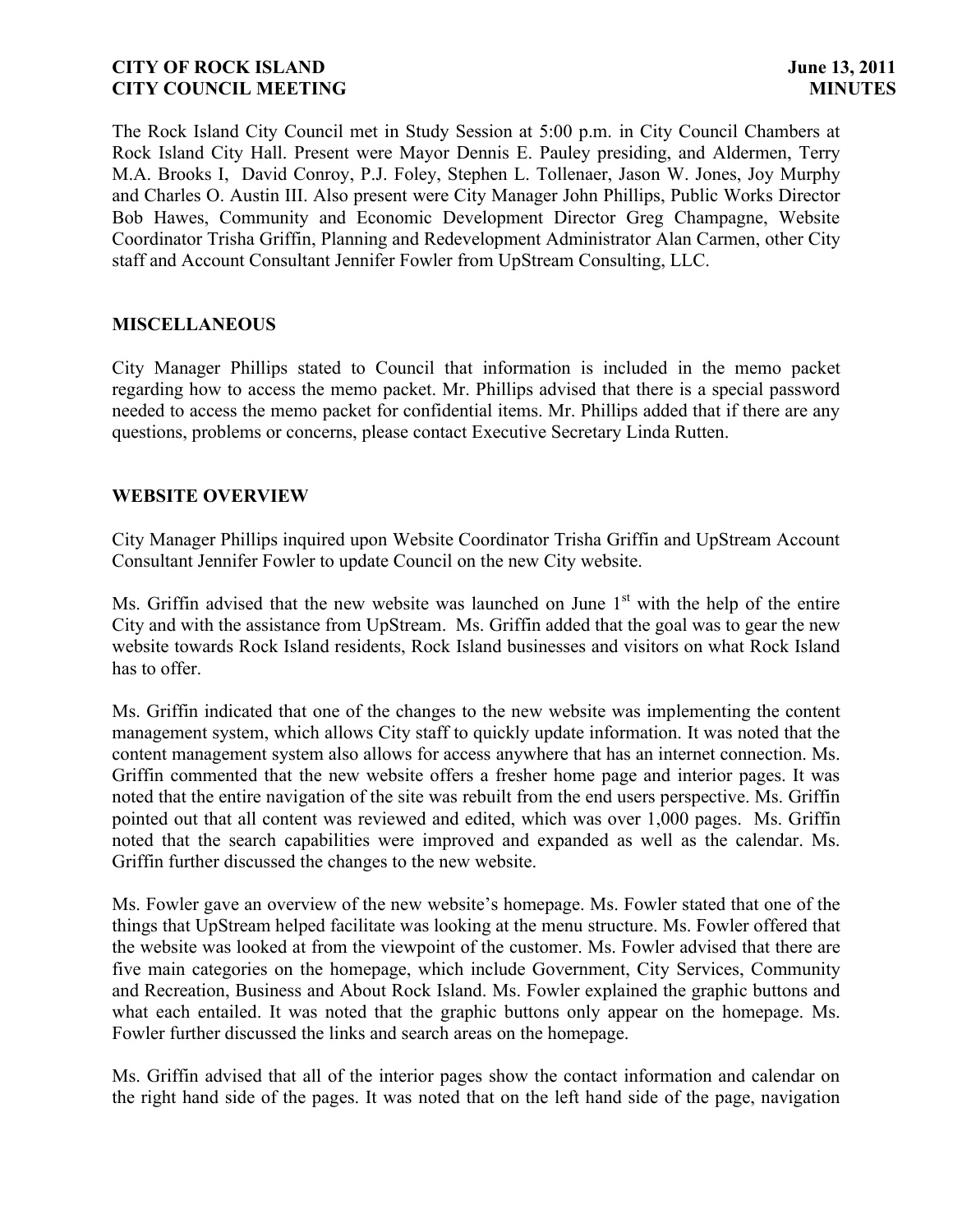The Rock Island City Council met in Study Session at 5:00 p.m. in City Council Chambers at Rock Island City Hall. Present were Mayor Dennis E. Pauley presiding, and Aldermen, Terry M.A. Brooks I, David Conroy, P.J. Foley, Stephen L. Tollenaer, Jason W. Jones, Joy Murphy and Charles O. Austin III. Also present were City Manager John Phillips, Public Works Director Bob Hawes, Community and Economic Development Director Greg Champagne, Website Coordinator Trisha Griffin, Planning and Redevelopment Administrator Alan Carmen, other City staff and Account Consultant Jennifer Fowler from UpStream Consulting, LLC.

## **MISCELLANEOUS**

City Manager Phillips stated to Council that information is included in the memo packet regarding how to access the memo packet. Mr. Phillips advised that there is a special password needed to access the memo packet for confidential items. Mr. Phillips added that if there are any questions, problems or concerns, please contact Executive Secretary Linda Rutten.

## **WEBSITE OVERVIEW**

City Manager Phillips inquired upon Website Coordinator Trisha Griffin and UpStream Account Consultant Jennifer Fowler to update Council on the new City website.

Ms. Griffin advised that the new website was launched on June  $1<sup>st</sup>$  with the help of the entire City and with the assistance from UpStream. Ms. Griffin added that the goal was to gear the new website towards Rock Island residents, Rock Island businesses and visitors on what Rock Island has to offer.

Ms. Griffin indicated that one of the changes to the new website was implementing the content management system, which allows City staff to quickly update information. It was noted that the content management system also allows for access anywhere that has an internet connection. Ms. Griffin commented that the new website offers a fresher home page and interior pages. It was noted that the entire navigation of the site was rebuilt from the end users perspective. Ms. Griffin pointed out that all content was reviewed and edited, which was over 1,000 pages. Ms. Griffin noted that the search capabilities were improved and expanded as well as the calendar. Ms. Griffin further discussed the changes to the new website.

Ms. Fowler gave an overview of the new website's homepage. Ms. Fowler stated that one of the things that UpStream helped facilitate was looking at the menu structure. Ms. Fowler offered that the website was looked at from the viewpoint of the customer. Ms. Fowler advised that there are five main categories on the homepage, which include Government, City Services, Community and Recreation, Business and About Rock Island. Ms. Fowler explained the graphic buttons and what each entailed. It was noted that the graphic buttons only appear on the homepage. Ms. Fowler further discussed the links and search areas on the homepage.

Ms. Griffin advised that all of the interior pages show the contact information and calendar on the right hand side of the pages. It was noted that on the left hand side of the page, navigation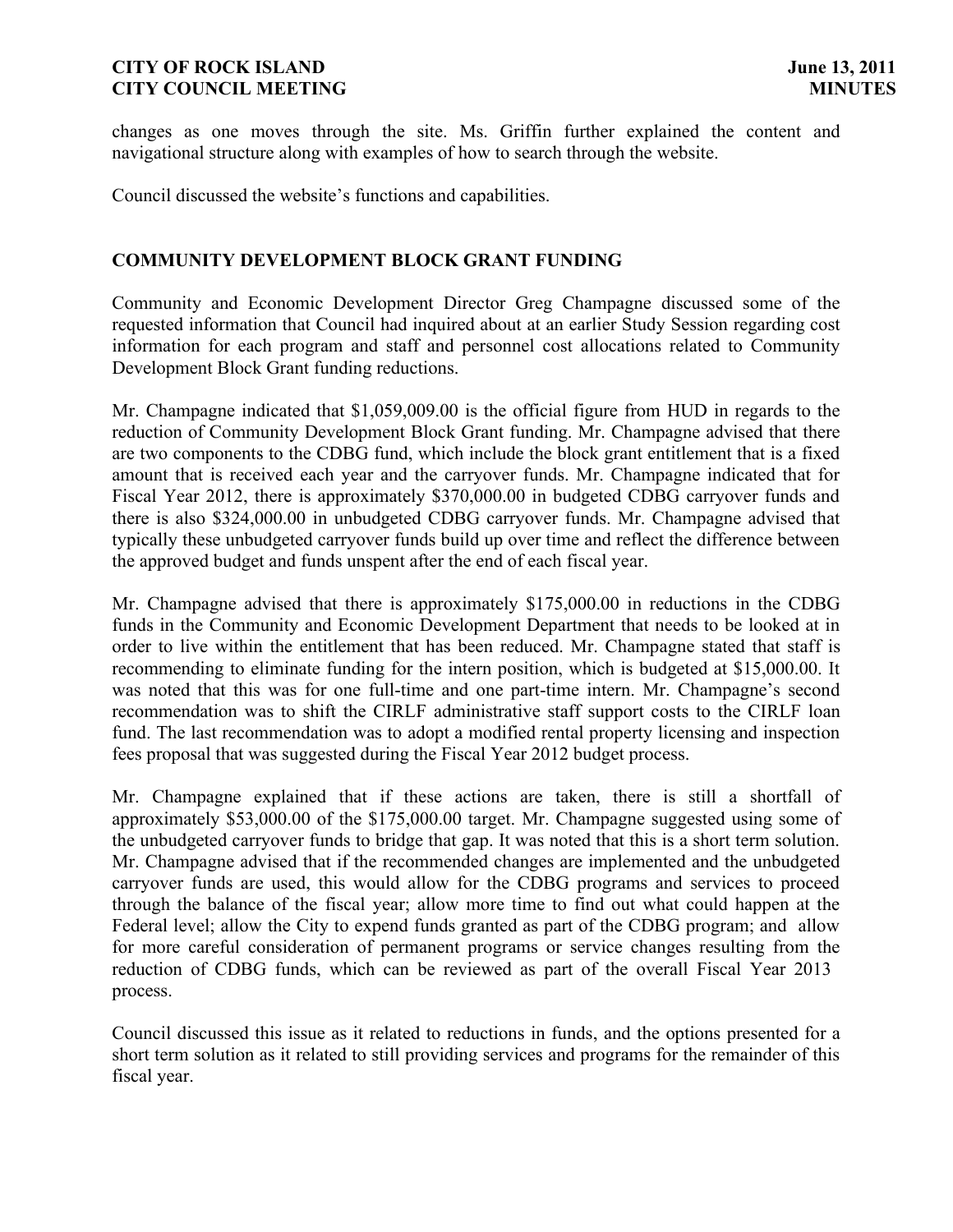changes as one moves through the site. Ms. Griffin further explained the content and navigational structure along with examples of how to search through the website.

Council discussed the website's functions and capabilities.

## **COMMUNITY DEVELOPMENT BLOCK GRANT FUNDING**

Community and Economic Development Director Greg Champagne discussed some of the requested information that Council had inquired about at an earlier Study Session regarding cost information for each program and staff and personnel cost allocations related to Community Development Block Grant funding reductions.

Mr. Champagne indicated that \$1,059,009.00 is the official figure from HUD in regards to the reduction of Community Development Block Grant funding. Mr. Champagne advised that there are two components to the CDBG fund, which include the block grant entitlement that is a fixed amount that is received each year and the carryover funds. Mr. Champagne indicated that for Fiscal Year 2012, there is approximately \$370,000.00 in budgeted CDBG carryover funds and there is also \$324,000.00 in unbudgeted CDBG carryover funds. Mr. Champagne advised that typically these unbudgeted carryover funds build up over time and reflect the difference between the approved budget and funds unspent after the end of each fiscal year.

Mr. Champagne advised that there is approximately \$175,000.00 in reductions in the CDBG funds in the Community and Economic Development Department that needs to be looked at in order to live within the entitlement that has been reduced. Mr. Champagne stated that staff is recommending to eliminate funding for the intern position, which is budgeted at \$15,000.00. It was noted that this was for one full-time and one part-time intern. Mr. Champagne's second recommendation was to shift the CIRLF administrative staff support costs to the CIRLF loan fund. The last recommendation was to adopt a modified rental property licensing and inspection fees proposal that was suggested during the Fiscal Year 2012 budget process.

Mr. Champagne explained that if these actions are taken, there is still a shortfall of approximately \$53,000.00 of the \$175,000.00 target. Mr. Champagne suggested using some of the unbudgeted carryover funds to bridge that gap. It was noted that this is a short term solution. Mr. Champagne advised that if the recommended changes are implemented and the unbudgeted carryover funds are used, this would allow for the CDBG programs and services to proceed through the balance of the fiscal year; allow more time to find out what could happen at the Federal level; allow the City to expend funds granted as part of the CDBG program; and allow for more careful consideration of permanent programs or service changes resulting from the reduction of CDBG funds, which can be reviewed as part of the overall Fiscal Year 2013 process.

Council discussed this issue as it related to reductions in funds, and the options presented for a short term solution as it related to still providing services and programs for the remainder of this fiscal year.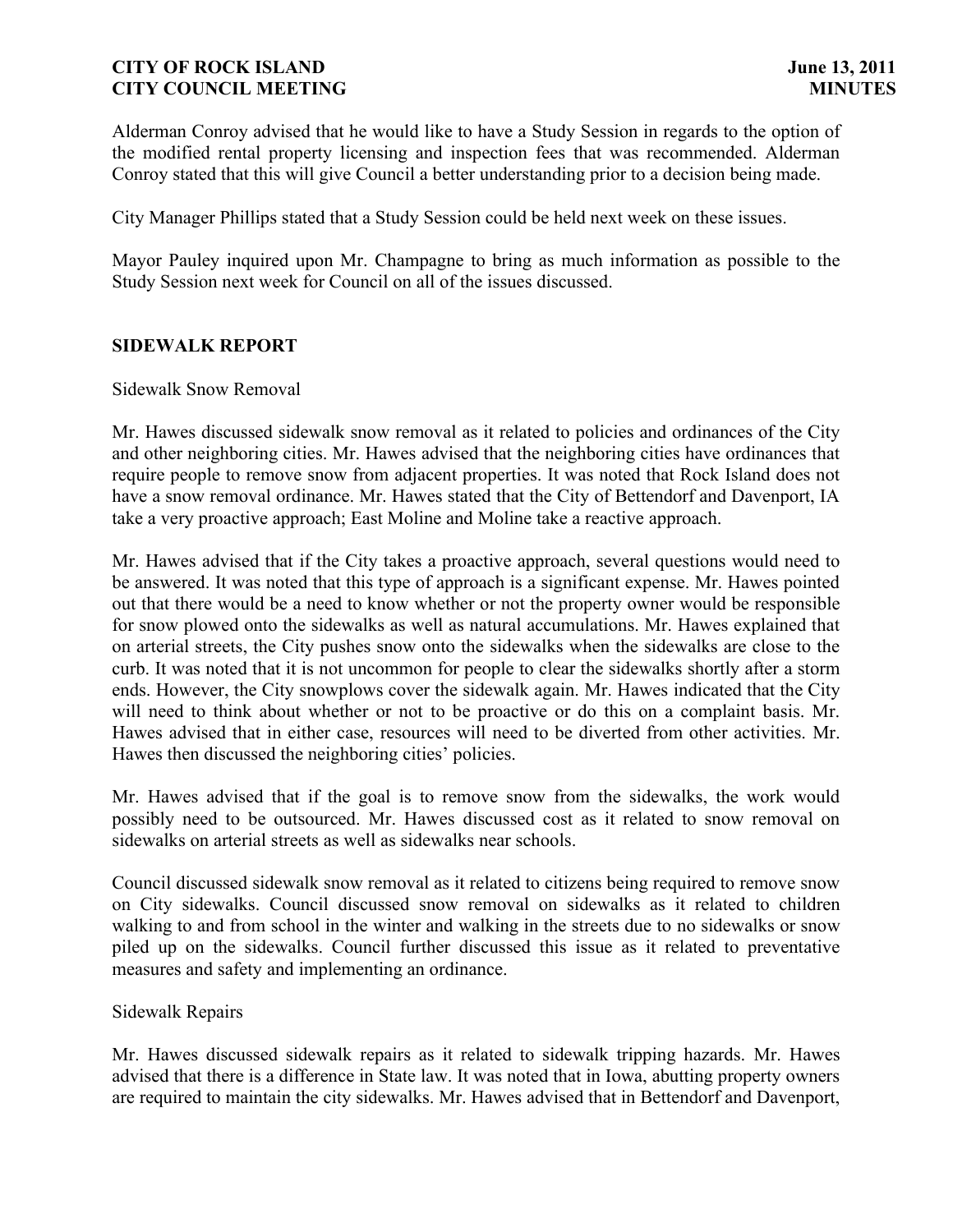Alderman Conroy advised that he would like to have a Study Session in regards to the option of the modified rental property licensing and inspection fees that was recommended. Alderman Conroy stated that this will give Council a better understanding prior to a decision being made.

City Manager Phillips stated that a Study Session could be held next week on these issues.

Mayor Pauley inquired upon Mr. Champagne to bring as much information as possible to the Study Session next week for Council on all of the issues discussed.

## **SIDEWALK REPORT**

## Sidewalk Snow Removal

Mr. Hawes discussed sidewalk snow removal as it related to policies and ordinances of the City and other neighboring cities. Mr. Hawes advised that the neighboring cities have ordinances that require people to remove snow from adjacent properties. It was noted that Rock Island does not have a snow removal ordinance. Mr. Hawes stated that the City of Bettendorf and Davenport, IA take a very proactive approach; East Moline and Moline take a reactive approach.

Mr. Hawes advised that if the City takes a proactive approach, several questions would need to be answered. It was noted that this type of approach is a significant expense. Mr. Hawes pointed out that there would be a need to know whether or not the property owner would be responsible for snow plowed onto the sidewalks as well as natural accumulations. Mr. Hawes explained that on arterial streets, the City pushes snow onto the sidewalks when the sidewalks are close to the curb. It was noted that it is not uncommon for people to clear the sidewalks shortly after a storm ends. However, the City snowplows cover the sidewalk again. Mr. Hawes indicated that the City will need to think about whether or not to be proactive or do this on a complaint basis. Mr. Hawes advised that in either case, resources will need to be diverted from other activities. Mr. Hawes then discussed the neighboring cities' policies.

Mr. Hawes advised that if the goal is to remove snow from the sidewalks, the work would possibly need to be outsourced. Mr. Hawes discussed cost as it related to snow removal on sidewalks on arterial streets as well as sidewalks near schools.

Council discussed sidewalk snow removal as it related to citizens being required to remove snow on City sidewalks. Council discussed snow removal on sidewalks as it related to children walking to and from school in the winter and walking in the streets due to no sidewalks or snow piled up on the sidewalks. Council further discussed this issue as it related to preventative measures and safety and implementing an ordinance.

## Sidewalk Repairs

Mr. Hawes discussed sidewalk repairs as it related to sidewalk tripping hazards. Mr. Hawes advised that there is a difference in State law. It was noted that in Iowa, abutting property owners are required to maintain the city sidewalks. Mr. Hawes advised that in Bettendorf and Davenport,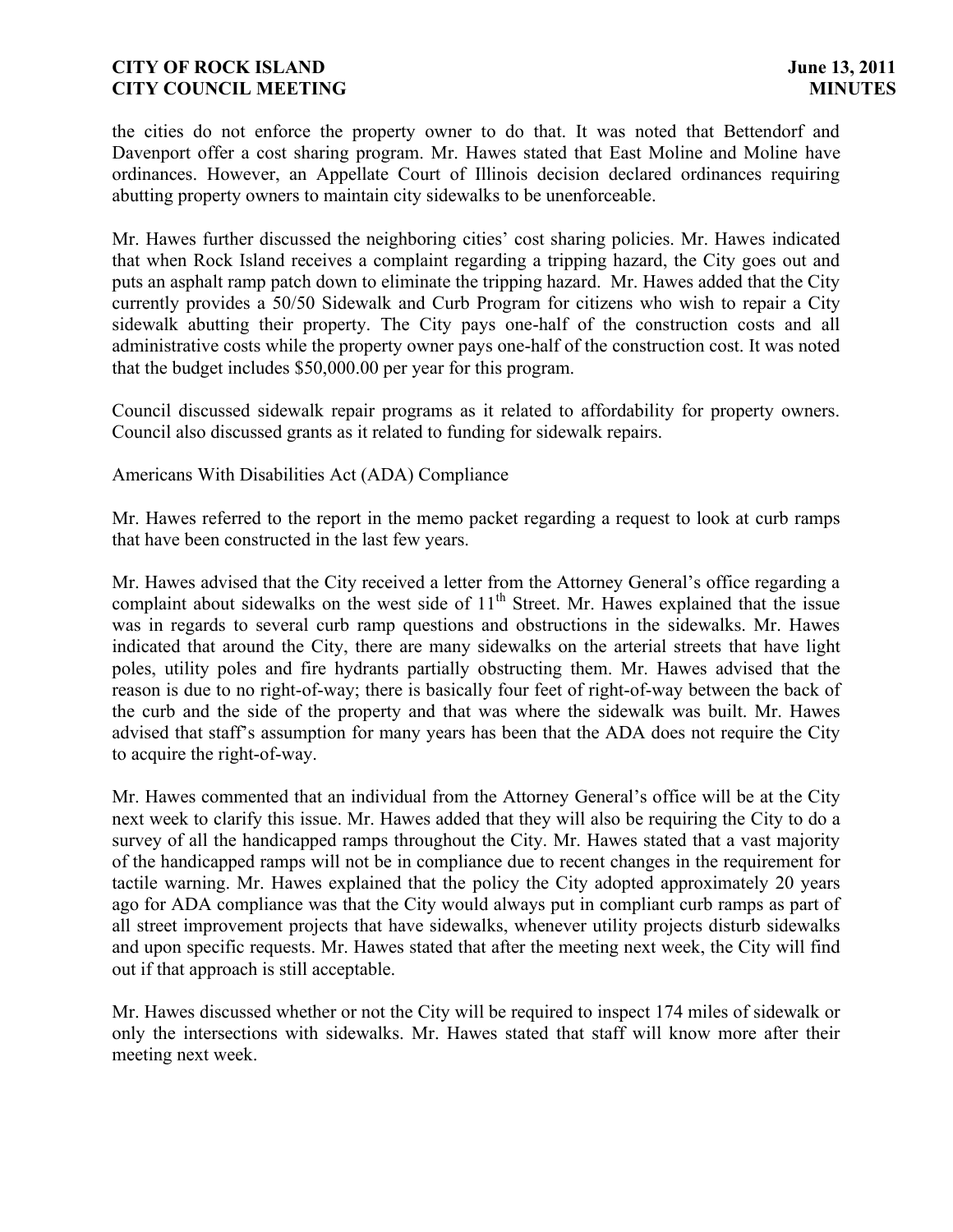the cities do not enforce the property owner to do that. It was noted that Bettendorf and Davenport offer a cost sharing program. Mr. Hawes stated that East Moline and Moline have ordinances. However, an Appellate Court of Illinois decision declared ordinances requiring abutting property owners to maintain city sidewalks to be unenforceable.

Mr. Hawes further discussed the neighboring cities' cost sharing policies. Mr. Hawes indicated that when Rock Island receives a complaint regarding a tripping hazard, the City goes out and puts an asphalt ramp patch down to eliminate the tripping hazard. Mr. Hawes added that the City currently provides a 50/50 Sidewalk and Curb Program for citizens who wish to repair a City sidewalk abutting their property. The City pays one-half of the construction costs and all administrative costs while the property owner pays one-half of the construction cost. It was noted that the budget includes \$50,000.00 per year for this program.

Council discussed sidewalk repair programs as it related to affordability for property owners. Council also discussed grants as it related to funding for sidewalk repairs.

Americans With Disabilities Act (ADA) Compliance

Mr. Hawes referred to the report in the memo packet regarding a request to look at curb ramps that have been constructed in the last few years.

Mr. Hawes advised that the City received a letter from the Attorney General's office regarding a complaint about sidewalks on the west side of  $11<sup>th</sup>$  Street. Mr. Hawes explained that the issue was in regards to several curb ramp questions and obstructions in the sidewalks. Mr. Hawes indicated that around the City, there are many sidewalks on the arterial streets that have light poles, utility poles and fire hydrants partially obstructing them. Mr. Hawes advised that the reason is due to no right-of-way; there is basically four feet of right-of-way between the back of the curb and the side of the property and that was where the sidewalk was built. Mr. Hawes advised that staff's assumption for many years has been that the ADA does not require the City to acquire the right-of-way.

Mr. Hawes commented that an individual from the Attorney General's office will be at the City next week to clarify this issue. Mr. Hawes added that they will also be requiring the City to do a survey of all the handicapped ramps throughout the City. Mr. Hawes stated that a vast majority of the handicapped ramps will not be in compliance due to recent changes in the requirement for tactile warning. Mr. Hawes explained that the policy the City adopted approximately 20 years ago for ADA compliance was that the City would always put in compliant curb ramps as part of all street improvement projects that have sidewalks, whenever utility projects disturb sidewalks and upon specific requests. Mr. Hawes stated that after the meeting next week, the City will find out if that approach is still acceptable.

Mr. Hawes discussed whether or not the City will be required to inspect 174 miles of sidewalk or only the intersections with sidewalks. Mr. Hawes stated that staff will know more after their meeting next week.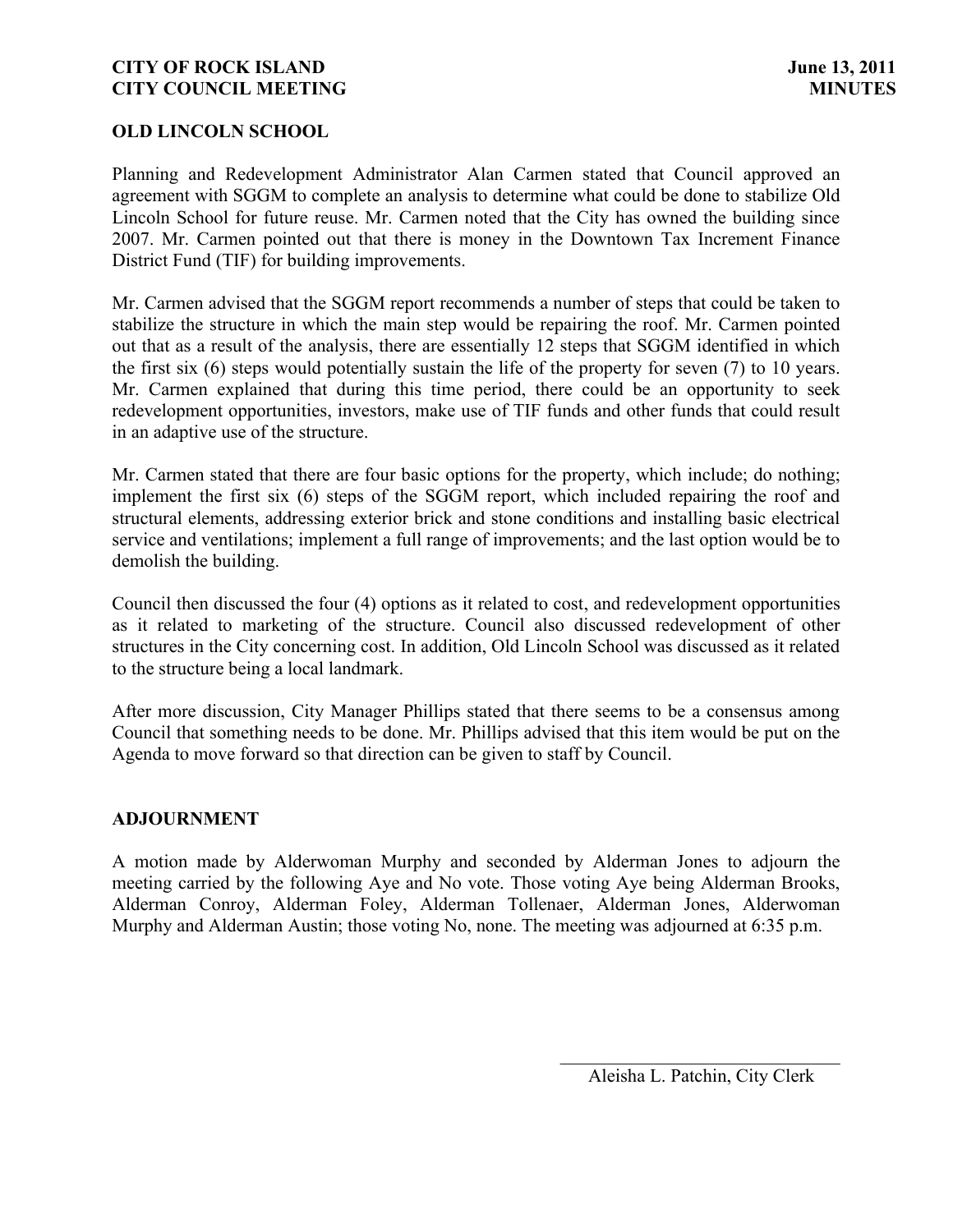## **OLD LINCOLN SCHOOL**

Planning and Redevelopment Administrator Alan Carmen stated that Council approved an agreement with SGGM to complete an analysis to determine what could be done to stabilize Old Lincoln School for future reuse. Mr. Carmen noted that the City has owned the building since 2007. Mr. Carmen pointed out that there is money in the Downtown Tax Increment Finance District Fund (TIF) for building improvements.

Mr. Carmen advised that the SGGM report recommends a number of steps that could be taken to stabilize the structure in which the main step would be repairing the roof. Mr. Carmen pointed out that as a result of the analysis, there are essentially 12 steps that SGGM identified in which the first six (6) steps would potentially sustain the life of the property for seven (7) to 10 years. Mr. Carmen explained that during this time period, there could be an opportunity to seek redevelopment opportunities, investors, make use of TIF funds and other funds that could result in an adaptive use of the structure.

Mr. Carmen stated that there are four basic options for the property, which include; do nothing; implement the first six (6) steps of the SGGM report, which included repairing the roof and structural elements, addressing exterior brick and stone conditions and installing basic electrical service and ventilations; implement a full range of improvements; and the last option would be to demolish the building.

Council then discussed the four (4) options as it related to cost, and redevelopment opportunities as it related to marketing of the structure. Council also discussed redevelopment of other structures in the City concerning cost. In addition, Old Lincoln School was discussed as it related to the structure being a local landmark.

After more discussion, City Manager Phillips stated that there seems to be a consensus among Council that something needs to be done. Mr. Phillips advised that this item would be put on the Agenda to move forward so that direction can be given to staff by Council.

## **ADJOURNMENT**

A motion made by Alderwoman Murphy and seconded by Alderman Jones to adjourn the meeting carried by the following Aye and No vote. Those voting Aye being Alderman Brooks, Alderman Conroy, Alderman Foley, Alderman Tollenaer, Alderman Jones, Alderwoman Murphy and Alderman Austin; those voting No, none. The meeting was adjourned at 6:35 p.m.

 $\overline{\phantom{a}}$ Aleisha L. Patchin, City Clerk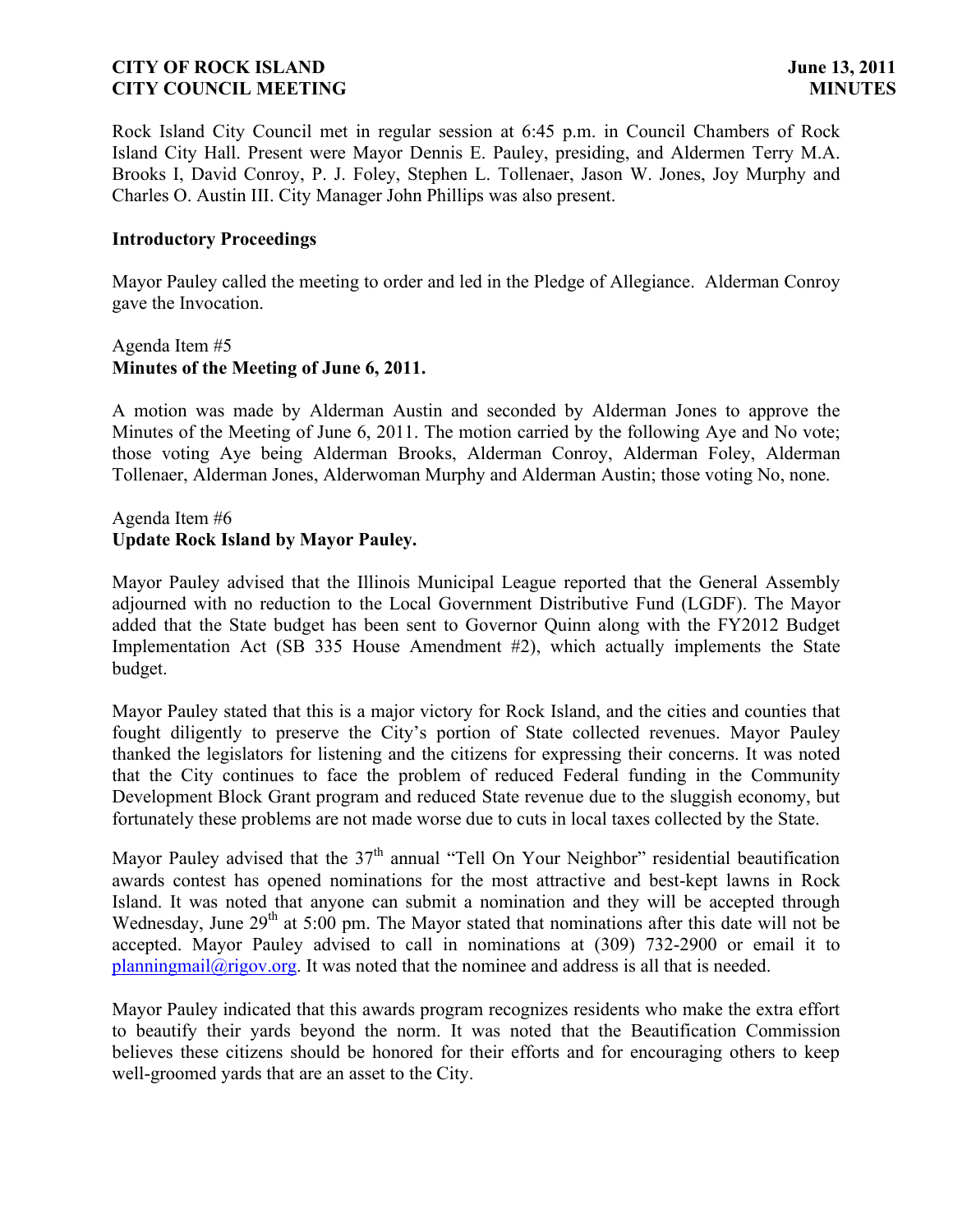Rock Island City Council met in regular session at 6:45 p.m. in Council Chambers of Rock Island City Hall. Present were Mayor Dennis E. Pauley, presiding, and Aldermen Terry M.A. Brooks I, David Conroy, P. J. Foley, Stephen L. Tollenaer, Jason W. Jones, Joy Murphy and Charles O. Austin III. City Manager John Phillips was also present.

## **Introductory Proceedings**

Mayor Pauley called the meeting to order and led in the Pledge of Allegiance. Alderman Conroy gave the Invocation.

## Agenda Item #5 **Minutes of the Meeting of June 6, 2011.**

A motion was made by Alderman Austin and seconded by Alderman Jones to approve the Minutes of the Meeting of June 6, 2011. The motion carried by the following Aye and No vote; those voting Aye being Alderman Brooks, Alderman Conroy, Alderman Foley, Alderman Tollenaer, Alderman Jones, Alderwoman Murphy and Alderman Austin; those voting No, none.

## Agenda Item #6 **Update Rock Island by Mayor Pauley.**

Mayor Pauley advised that the Illinois Municipal League reported that the General Assembly adjourned with no reduction to the Local Government Distributive Fund (LGDF). The Mayor added that the State budget has been sent to Governor Quinn along with the FY2012 Budget Implementation Act (SB 335 House Amendment #2), which actually implements the State budget.

Mayor Pauley stated that this is a major victory for Rock Island, and the cities and counties that fought diligently to preserve the City's portion of State collected revenues. Mayor Pauley thanked the legislators for listening and the citizens for expressing their concerns. It was noted that the City continues to face the problem of reduced Federal funding in the Community Development Block Grant program and reduced State revenue due to the sluggish economy, but fortunately these problems are not made worse due to cuts in local taxes collected by the State.

Mayor Pauley advised that the  $37<sup>th</sup>$  annual "Tell On Your Neighbor" residential beautification awards contest has opened nominations for the most attractive and best-kept lawns in Rock Island. It was noted that anyone can submit a nomination and they will be accepted through Wednesday, June 29<sup>th</sup> at 5:00 pm. The Mayor stated that nominations after this date will not be accepted. Mayor Pauley advised to call in nominations at (309) 732-2900 or email it to  $planningmail@rigov.org.$  It was noted that the nominee and address is all that is needed.

Mayor Pauley indicated that this awards program recognizes residents who make the extra effort to beautify their yards beyond the norm. It was noted that the Beautification Commission believes these citizens should be honored for their efforts and for encouraging others to keep well-groomed yards that are an asset to the City.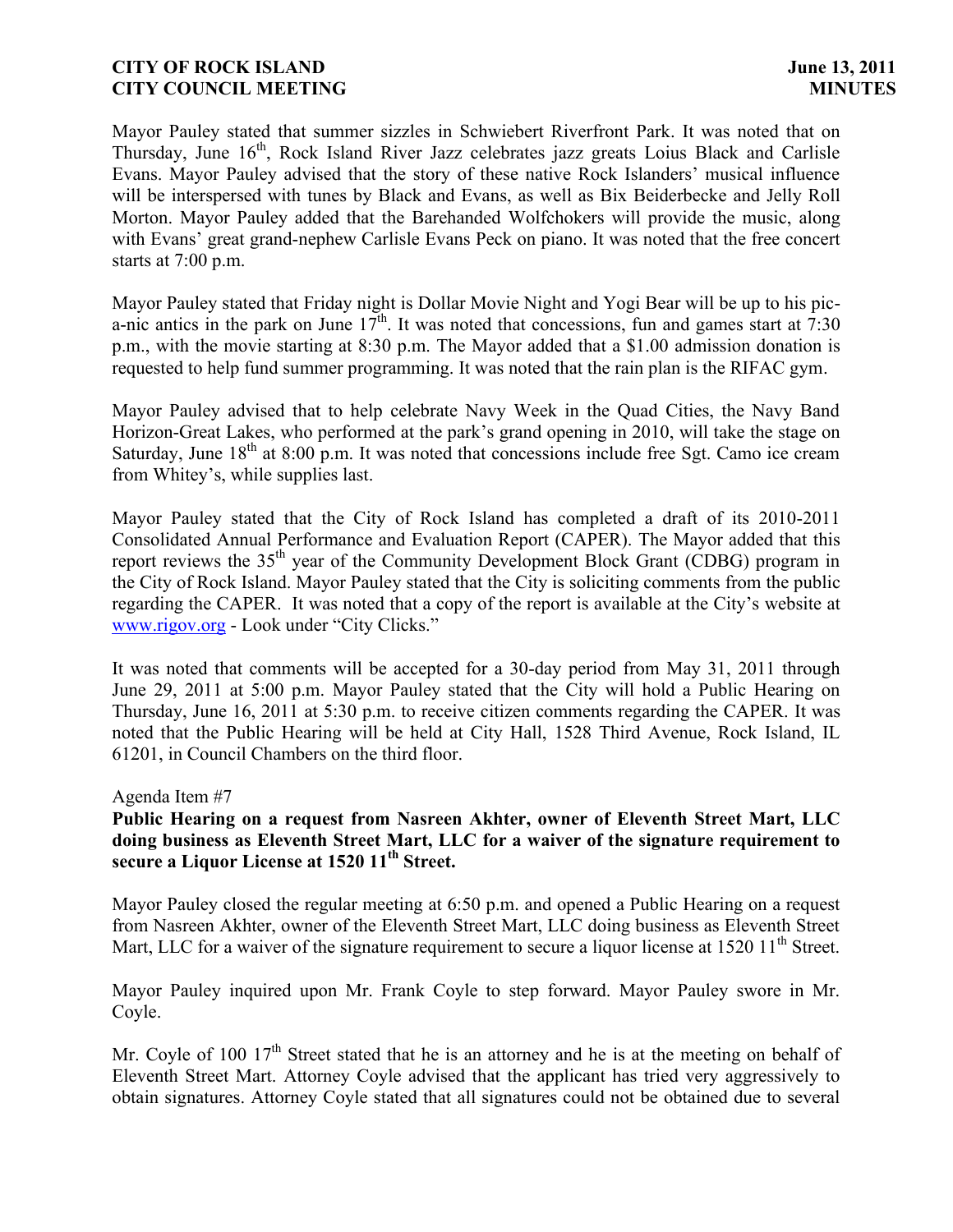Mayor Pauley stated that summer sizzles in Schwiebert Riverfront Park. It was noted that on Thursday, June 16<sup>th</sup>, Rock Island River Jazz celebrates jazz greats Loius Black and Carlisle Evans. Mayor Pauley advised that the story of these native Rock Islanders' musical influence will be interspersed with tunes by Black and Evans, as well as Bix Beiderbecke and Jelly Roll Morton. Mayor Pauley added that the Barehanded Wolfchokers will provide the music, along with Evans' great grand-nephew Carlisle Evans Peck on piano. It was noted that the free concert starts at 7:00 p.m.

Mayor Pauley stated that Friday night is Dollar Movie Night and Yogi Bear will be up to his pica-nic antics in the park on June  $17^{th}$ . It was noted that concessions, fun and games start at 7:30 p.m., with the movie starting at 8:30 p.m. The Mayor added that a \$1.00 admission donation is requested to help fund summer programming. It was noted that the rain plan is the RIFAC gym.

Mayor Pauley advised that to help celebrate Navy Week in the Quad Cities, the Navy Band Horizon-Great Lakes, who performed at the park's grand opening in 2010, will take the stage on Saturday, June  $18<sup>th</sup>$  at 8:00 p.m. It was noted that concessions include free Sgt. Camo ice cream from Whitey's, while supplies last.

Mayor Pauley stated that the City of Rock Island has completed a draft of its 2010-2011 Consolidated Annual Performance and Evaluation Report (CAPER). The Mayor added that this report reviews the 35<sup>th</sup> year of the Community Development Block Grant (CDBG) program in the City of Rock Island. Mayor Pauley stated that the City is soliciting comments from the public regarding the CAPER. It was noted that a copy of the report is available at the City's website at [www.rigov.org](http://www.rigov.org/) - Look under "City Clicks."

It was noted that comments will be accepted for a 30-day period from May 31, 2011 through June 29, 2011 at 5:00 p.m. Mayor Pauley stated that the City will hold a Public Hearing on Thursday, June 16, 2011 at 5:30 p.m. to receive citizen comments regarding the CAPER. It was noted that the Public Hearing will be held at City Hall, 1528 Third Avenue, Rock Island, IL 61201, in Council Chambers on the third floor.

## Agenda Item #7

## **Public Hearing on a request from Nasreen Akhter, owner of Eleventh Street Mart, LLC doing business as Eleventh Street Mart, LLC for a waiver of the signature requirement to secure a Liquor License at 1520 11th Street.**

Mayor Pauley closed the regular meeting at 6:50 p.m. and opened a Public Hearing on a request from Nasreen Akhter, owner of the Eleventh Street Mart, LLC doing business as Eleventh Street Mart, LLC for a waiver of the signature requirement to secure a liquor license at  $1520\,11^{\text{th}}$  Street.

Mayor Pauley inquired upon Mr. Frank Coyle to step forward. Mayor Pauley swore in Mr. Coyle.

Mr. Coyle of 100  $17<sup>th</sup>$  Street stated that he is an attorney and he is at the meeting on behalf of Eleventh Street Mart. Attorney Coyle advised that the applicant has tried very aggressively to obtain signatures. Attorney Coyle stated that all signatures could not be obtained due to several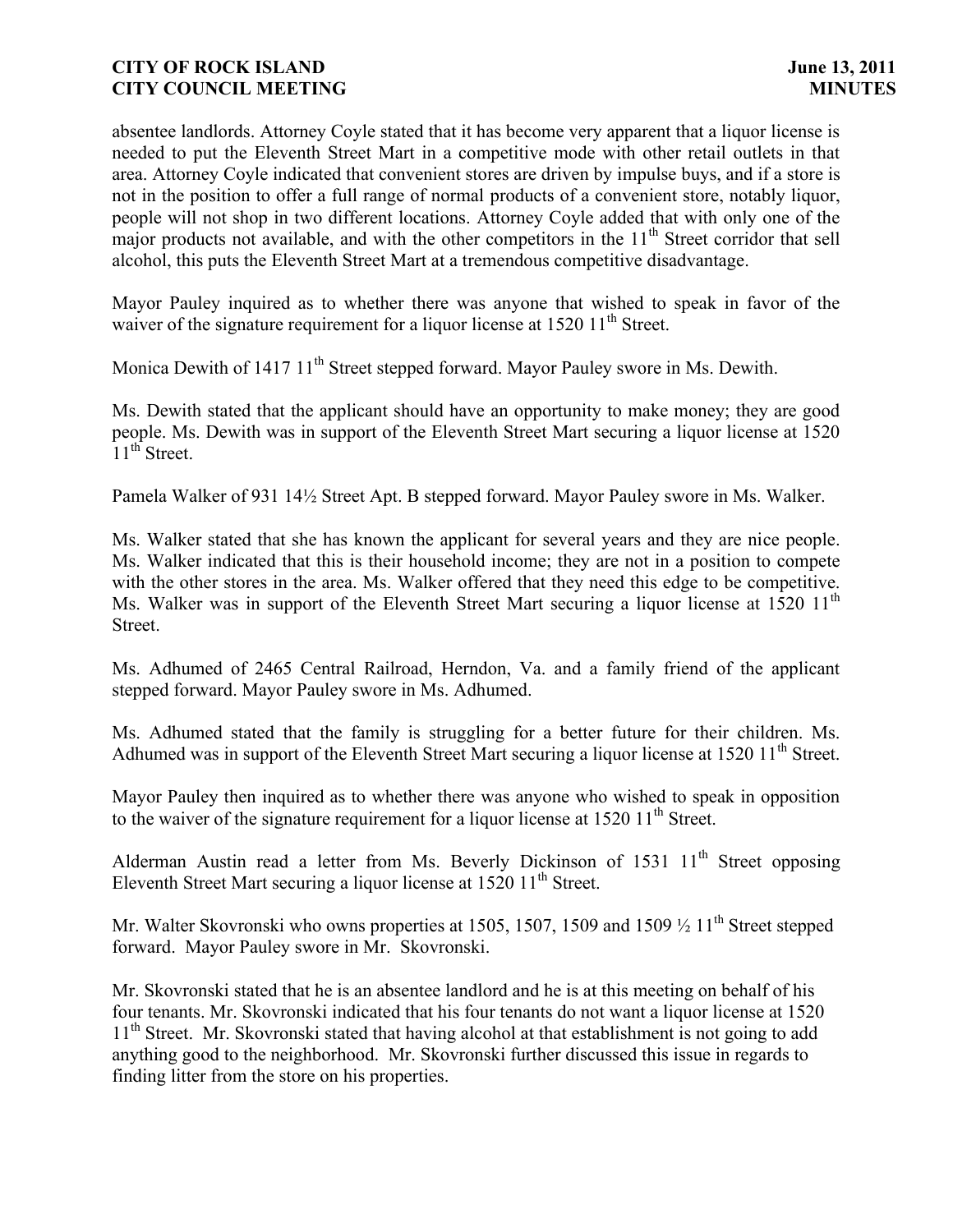absentee landlords. Attorney Coyle stated that it has become very apparent that a liquor license is needed to put the Eleventh Street Mart in a competitive mode with other retail outlets in that area. Attorney Coyle indicated that convenient stores are driven by impulse buys, and if a store is not in the position to offer a full range of normal products of a convenient store, notably liquor, people will not shop in two different locations. Attorney Coyle added that with only one of the major products not available, and with the other competitors in the  $11<sup>th</sup>$  Street corridor that sell alcohol, this puts the Eleventh Street Mart at a tremendous competitive disadvantage.

Mayor Pauley inquired as to whether there was anyone that wished to speak in favor of the waiver of the signature requirement for a liquor license at  $1520 11<sup>th</sup>$  Street.

Monica Dewith of 1417 11<sup>th</sup> Street stepped forward. Mayor Pauley swore in Ms. Dewith.

Ms. Dewith stated that the applicant should have an opportunity to make money; they are good people. Ms. Dewith was in support of the Eleventh Street Mart securing a liquor license at 1520  $11<sup>th</sup>$  Street.

Pamela Walker of 931 141⁄2 Street Apt. B stepped forward. Mayor Pauley swore in Ms. Walker.

Ms. Walker stated that she has known the applicant for several years and they are nice people. Ms. Walker indicated that this is their household income; they are not in a position to compete with the other stores in the area. Ms. Walker offered that they need this edge to be competitive. Ms. Walker was in support of the Eleventh Street Mart securing a liquor license at 1520 11<sup>th</sup> Street.

Ms. Adhumed of 2465 Central Railroad, Herndon, Va. and a family friend of the applicant stepped forward. Mayor Pauley swore in Ms. Adhumed.

Ms. Adhumed stated that the family is struggling for a better future for their children. Ms. Adhumed was in support of the Eleventh Street Mart securing a liquor license at  $1520 \frac{11^{th}}{25}$  Street.

Mayor Pauley then inquired as to whether there was anyone who wished to speak in opposition to the waiver of the signature requirement for a liquor license at  $1520 11<sup>th</sup>$  Street.

Alderman Austin read a letter from Ms. Beverly Dickinson of 1531 11<sup>th</sup> Street opposing Eleventh Street Mart securing a liquor license at  $1520 11<sup>th</sup>$  Street.

Mr. Walter Skovronski who owns properties at 1505, 1507, 1509 and 1509  $\frac{1}{2}$  11<sup>th</sup> Street stepped forward. Mayor Pauley swore in Mr. Skovronski.

Mr. Skovronski stated that he is an absentee landlord and he is at this meeting on behalf of his four tenants. Mr. Skovronski indicated that his four tenants do not want a liquor license at 1520 11<sup>th</sup> Street. Mr. Skovronski stated that having alcohol at that establishment is not going to add anything good to the neighborhood. Mr. Skovronski further discussed this issue in regards to finding litter from the store on his properties.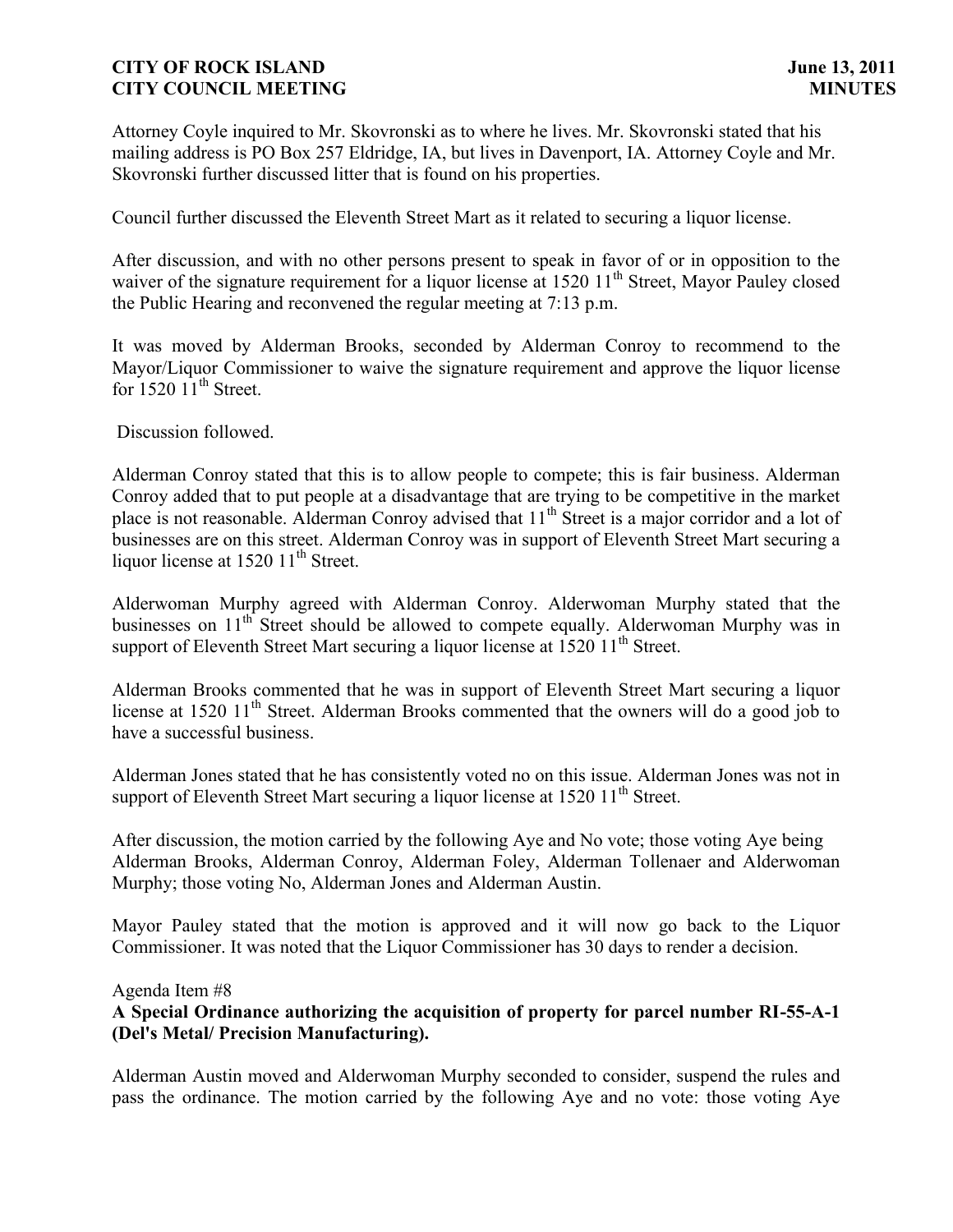Attorney Coyle inquired to Mr. Skovronski as to where he lives. Mr. Skovronski stated that his mailing address is PO Box 257 Eldridge, IA, but lives in Davenport, IA. Attorney Coyle and Mr. Skovronski further discussed litter that is found on his properties.

Council further discussed the Eleventh Street Mart as it related to securing a liquor license.

After discussion, and with no other persons present to speak in favor of or in opposition to the waiver of the signature requirement for a liquor license at 1520 11<sup>th</sup> Street, Mayor Pauley closed the Public Hearing and reconvened the regular meeting at 7:13 p.m.

It was moved by Alderman Brooks, seconded by Alderman Conroy to recommend to the Mayor/Liquor Commissioner to waive the signature requirement and approve the liquor license for  $1520 \, 11^{\text{th}}$  Street.

Discussion followed.

Alderman Conroy stated that this is to allow people to compete; this is fair business. Alderman Conroy added that to put people at a disadvantage that are trying to be competitive in the market place is not reasonable. Alderman Conroy advised that 11<sup>th</sup> Street is a major corridor and a lot of businesses are on this street. Alderman Conroy was in support of Eleventh Street Mart securing a liquor license at  $1520 11<sup>th</sup>$  Street.

Alderwoman Murphy agreed with Alderman Conroy. Alderwoman Murphy stated that the businesses on 11<sup>th</sup> Street should be allowed to compete equally. Alderwoman Murphy was in support of Eleventh Street Mart securing a liquor license at 1520 11<sup>th</sup> Street.

Alderman Brooks commented that he was in support of Eleventh Street Mart securing a liquor license at 1520  $11<sup>th</sup>$  Street. Alderman Brooks commented that the owners will do a good job to have a successful business.

Alderman Jones stated that he has consistently voted no on this issue. Alderman Jones was not in support of Eleventh Street Mart securing a liquor license at  $1520\ 11<sup>th</sup>$  Street.

After discussion, the motion carried by the following Aye and No vote; those voting Aye being Alderman Brooks, Alderman Conroy, Alderman Foley, Alderman Tollenaer and Alderwoman Murphy; those voting No, Alderman Jones and Alderman Austin.

Mayor Pauley stated that the motion is approved and it will now go back to the Liquor Commissioner. It was noted that the Liquor Commissioner has 30 days to render a decision.

## Agenda Item #8

# **A Special Ordinance authorizing the acquisition of property for parcel number RI-55-A-1 (Del's Metal/ Precision Manufacturing).**

Alderman Austin moved and Alderwoman Murphy seconded to consider, suspend the rules and pass the ordinance. The motion carried by the following Aye and no vote: those voting Aye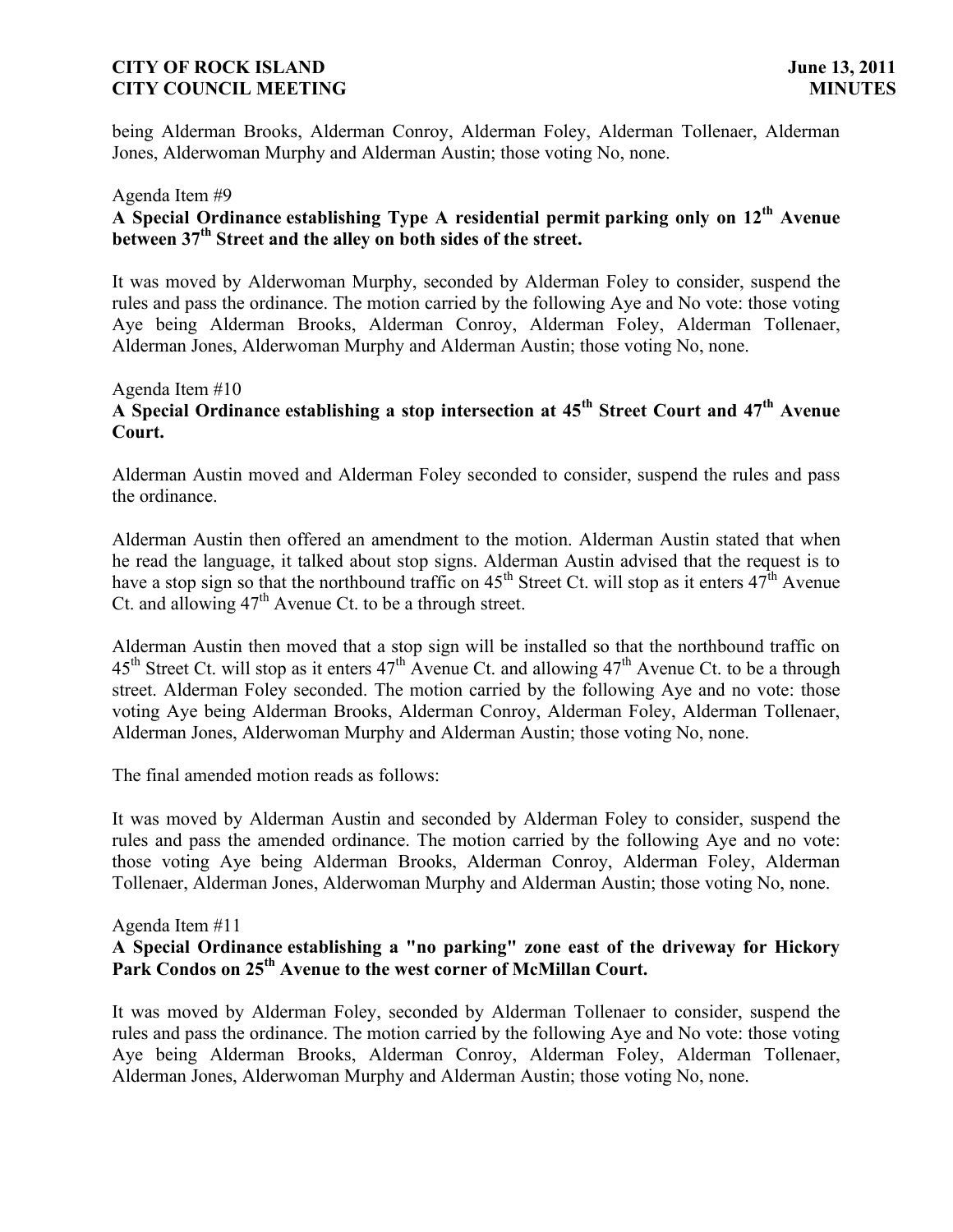being Alderman Brooks, Alderman Conroy, Alderman Foley, Alderman Tollenaer, Alderman Jones, Alderwoman Murphy and Alderman Austin; those voting No, none.

# Agenda Item #9 **A Special Ordinance establishing Type A residential permit parking only on 12th Avenue between 37th Street and the alley on both sides of the street.**

It was moved by Alderwoman Murphy, seconded by Alderman Foley to consider, suspend the rules and pass the ordinance. The motion carried by the following Aye and No vote: those voting Aye being Alderman Brooks, Alderman Conroy, Alderman Foley, Alderman Tollenaer, Alderman Jones, Alderwoman Murphy and Alderman Austin; those voting No, none.

# Agenda Item #10 **A Special Ordinance establishing a stop intersection at 45th Street Court and 47th Avenue Court.**

Alderman Austin moved and Alderman Foley seconded to consider, suspend the rules and pass the ordinance.

Alderman Austin then offered an amendment to the motion. Alderman Austin stated that when he read the language, it talked about stop signs. Alderman Austin advised that the request is to have a stop sign so that the northbound traffic on  $45<sup>th</sup>$  Street Ct. will stop as it enters  $47<sup>th</sup>$  Avenue Ct. and allowing  $47<sup>th</sup>$  Avenue Ct. to be a through street.

Alderman Austin then moved that a stop sign will be installed so that the northbound traffic on  $45<sup>th</sup>$  Street Ct. will stop as it enters  $47<sup>th</sup>$  Avenue Ct. and allowing  $47<sup>th</sup>$  Avenue Ct. to be a through street. Alderman Foley seconded. The motion carried by the following Aye and no vote: those voting Aye being Alderman Brooks, Alderman Conroy, Alderman Foley, Alderman Tollenaer, Alderman Jones, Alderwoman Murphy and Alderman Austin; those voting No, none.

The final amended motion reads as follows:

It was moved by Alderman Austin and seconded by Alderman Foley to consider, suspend the rules and pass the amended ordinance. The motion carried by the following Aye and no vote: those voting Aye being Alderman Brooks, Alderman Conroy, Alderman Foley, Alderman Tollenaer, Alderman Jones, Alderwoman Murphy and Alderman Austin; those voting No, none.

# Agenda Item #11

# **A Special Ordinance establishing a "no parking" zone east of the driveway for Hickory Park Condos on 25th Avenue to the west corner of McMillan Court.**

It was moved by Alderman Foley, seconded by Alderman Tollenaer to consider, suspend the rules and pass the ordinance. The motion carried by the following Aye and No vote: those voting Aye being Alderman Brooks, Alderman Conroy, Alderman Foley, Alderman Tollenaer, Alderman Jones, Alderwoman Murphy and Alderman Austin; those voting No, none.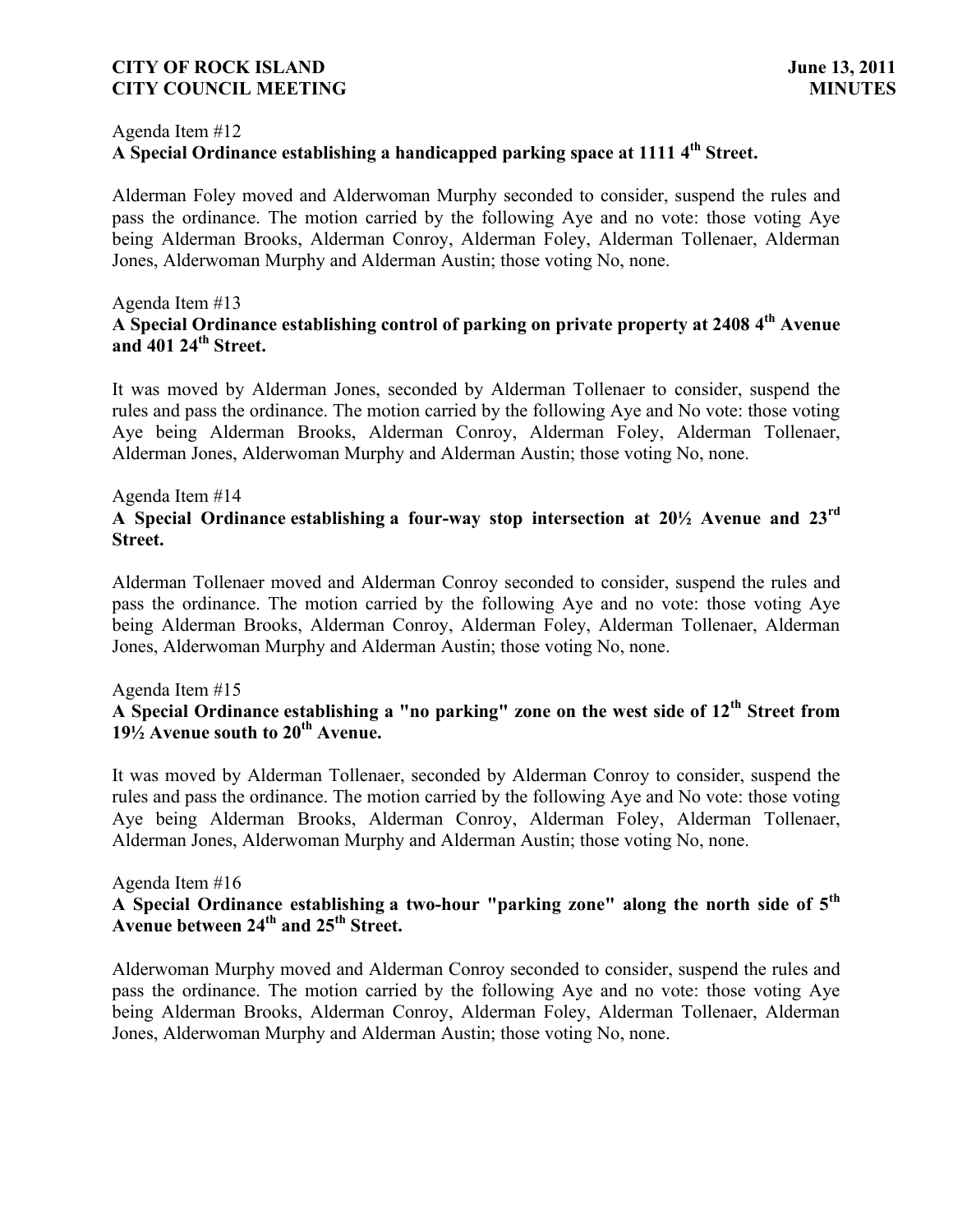#### Agenda Item #12

# **A Special Ordinance establishing a handicapped parking space at 1111 4 th Street.**

Alderman Foley moved and Alderwoman Murphy seconded to consider, suspend the rules and pass the ordinance. The motion carried by the following Aye and no vote: those voting Aye being Alderman Brooks, Alderman Conroy, Alderman Foley, Alderman Tollenaer, Alderman Jones, Alderwoman Murphy and Alderman Austin; those voting No, none.

## Agenda Item #13

# **A Special Ordinance establishing control of parking on private property at 2408 4 th Avenue and 401 24th Street.**

It was moved by Alderman Jones, seconded by Alderman Tollenaer to consider, suspend the rules and pass the ordinance. The motion carried by the following Aye and No vote: those voting Aye being Alderman Brooks, Alderman Conroy, Alderman Foley, Alderman Tollenaer, Alderman Jones, Alderwoman Murphy and Alderman Austin; those voting No, none.

#### Agenda Item #14

# **A Special Ordinance establishing a four-way stop intersection at 201⁄2 Avenue and 23rd Street.**

Alderman Tollenaer moved and Alderman Conroy seconded to consider, suspend the rules and pass the ordinance. The motion carried by the following Aye and no vote: those voting Aye being Alderman Brooks, Alderman Conroy, Alderman Foley, Alderman Tollenaer, Alderman Jones, Alderwoman Murphy and Alderman Austin; those voting No, none.

#### Agenda Item #15

# **A Special Ordinance establishing a "no parking" zone on the west side of 12th Street from 191⁄2 Avenue south to 20th Avenue.**

It was moved by Alderman Tollenaer, seconded by Alderman Conroy to consider, suspend the rules and pass the ordinance. The motion carried by the following Aye and No vote: those voting Aye being Alderman Brooks, Alderman Conroy, Alderman Foley, Alderman Tollenaer, Alderman Jones, Alderwoman Murphy and Alderman Austin; those voting No, none.

#### Agenda Item #16

# **A Special Ordinance establishing a two-hour "parking zone" along the north side of 5th Avenue between 24th and 25th Street.**

Alderwoman Murphy moved and Alderman Conroy seconded to consider, suspend the rules and pass the ordinance. The motion carried by the following Aye and no vote: those voting Aye being Alderman Brooks, Alderman Conroy, Alderman Foley, Alderman Tollenaer, Alderman Jones, Alderwoman Murphy and Alderman Austin; those voting No, none.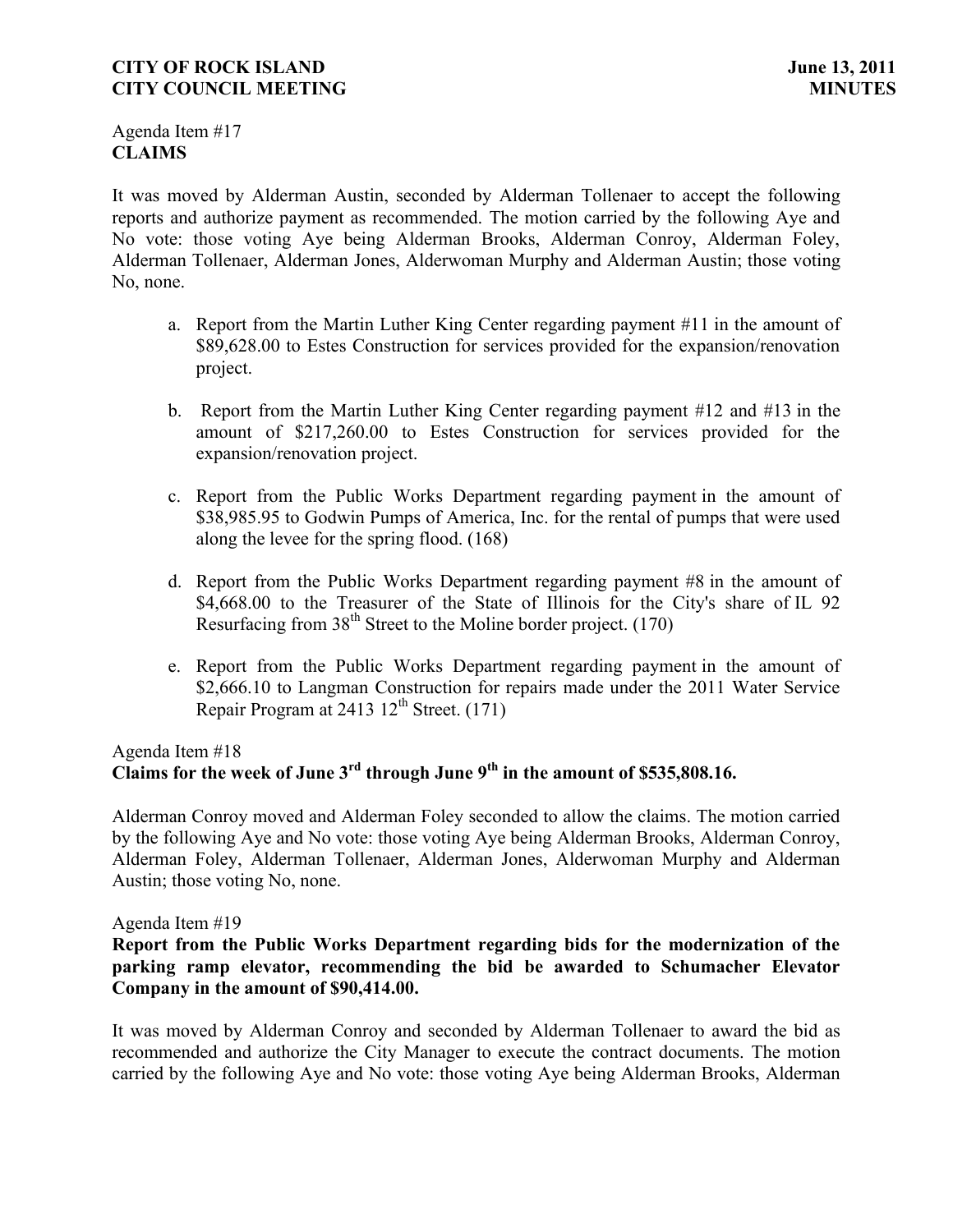Agenda Item #17 **CLAIMS**

It was moved by Alderman Austin, seconded by Alderman Tollenaer to accept the following reports and authorize payment as recommended. The motion carried by the following Aye and No vote: those voting Aye being Alderman Brooks, Alderman Conroy, Alderman Foley, Alderman Tollenaer, Alderman Jones, Alderwoman Murphy and Alderman Austin; those voting No, none.

- a. Report from the Martin Luther King Center regarding payment #11 in the amount of \$89,628.00 to Estes Construction for services provided for the expansion/renovation project.
- b. Report from the Martin Luther King Center regarding payment #12 and #13 in the amount of \$217,260.00 to Estes Construction for services provided for the expansion/renovation project.
- c. Report from the Public Works Department regarding payment in the amount of \$38,985.95 to Godwin Pumps of America, Inc. for the rental of pumps that were used along the levee for the spring flood. (168)
- d. Report from the Public Works Department regarding payment #8 in the amount of \$4,668.00 to the Treasurer of the State of Illinois for the City's share of IL 92 Resurfacing from  $38<sup>th</sup>$  Street to the Moline border project. (170)
- e. Report from the Public Works Department regarding payment in the amount of \$2,666.10 to Langman Construction for repairs made under the 2011 Water Service Repair Program at  $2413 \frac{12^{th}}{3}$  Street. (171)

# Agenda Item #18 **Claims for the week of June 3rd through June 9th in the amount of \$535,808.16.**

Alderman Conroy moved and Alderman Foley seconded to allow the claims. The motion carried by the following Aye and No vote: those voting Aye being Alderman Brooks, Alderman Conroy, Alderman Foley, Alderman Tollenaer, Alderman Jones, Alderwoman Murphy and Alderman Austin; those voting No, none.

## Agenda Item #19

## **Report from the Public Works Department regarding bids for the modernization of the parking ramp elevator, recommending the bid be awarded to Schumacher Elevator Company in the amount of \$90,414.00.**

It was moved by Alderman Conroy and seconded by Alderman Tollenaer to award the bid as recommended and authorize the City Manager to execute the contract documents. The motion carried by the following Aye and No vote: those voting Aye being Alderman Brooks, Alderman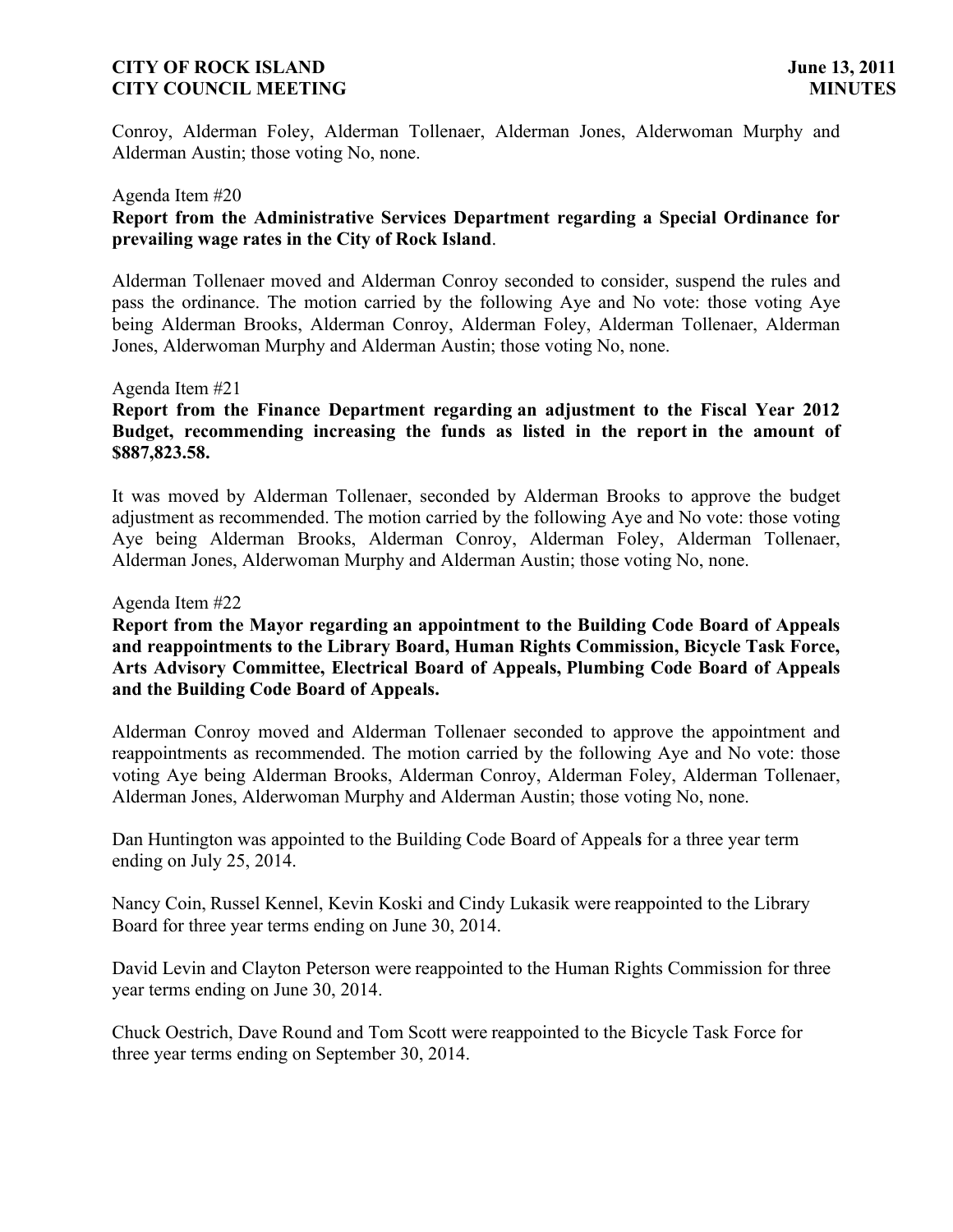Conroy, Alderman Foley, Alderman Tollenaer, Alderman Jones, Alderwoman Murphy and Alderman Austin; those voting No, none.

#### Agenda Item #20

# **Report from the Administrative Services Department regarding a Special Ordinance for prevailing wage rates in the City of Rock Island**.

Alderman Tollenaer moved and Alderman Conroy seconded to consider, suspend the rules and pass the ordinance. The motion carried by the following Aye and No vote: those voting Aye being Alderman Brooks, Alderman Conroy, Alderman Foley, Alderman Tollenaer, Alderman Jones, Alderwoman Murphy and Alderman Austin; those voting No, none.

## Agenda Item #21

## **Report from the Finance Department regarding an adjustment to the Fiscal Year 2012 Budget, recommending increasing the funds as listed in the report in the amount of \$887,823.58.**

It was moved by Alderman Tollenaer, seconded by Alderman Brooks to approve the budget adjustment as recommended. The motion carried by the following Aye and No vote: those voting Aye being Alderman Brooks, Alderman Conroy, Alderman Foley, Alderman Tollenaer, Alderman Jones, Alderwoman Murphy and Alderman Austin; those voting No, none.

#### Agenda Item #22

## **Report from the Mayor regarding an appointment to the Building Code Board of Appeals and reappointments to the Library Board, Human Rights Commission, Bicycle Task Force, Arts Advisory Committee, Electrical Board of Appeals, Plumbing Code Board of Appeals and the Building Code Board of Appeals.**

Alderman Conroy moved and Alderman Tollenaer seconded to approve the appointment and reappointments as recommended. The motion carried by the following Aye and No vote: those voting Aye being Alderman Brooks, Alderman Conroy, Alderman Foley, Alderman Tollenaer, Alderman Jones, Alderwoman Murphy and Alderman Austin; those voting No, none.

Dan Huntington was appointed to the Building Code Board of Appeal**s** for a three year term ending on July 25, 2014.

Nancy Coin, Russel Kennel, Kevin Koski and Cindy Lukasik were reappointed to the Library Board for three year terms ending on June 30, 2014.

David Levin and Clayton Peterson were reappointed to the Human Rights Commission for three year terms ending on June 30, 2014.

Chuck Oestrich, Dave Round and Tom Scott were reappointed to the Bicycle Task Force for three year terms ending on September 30, 2014.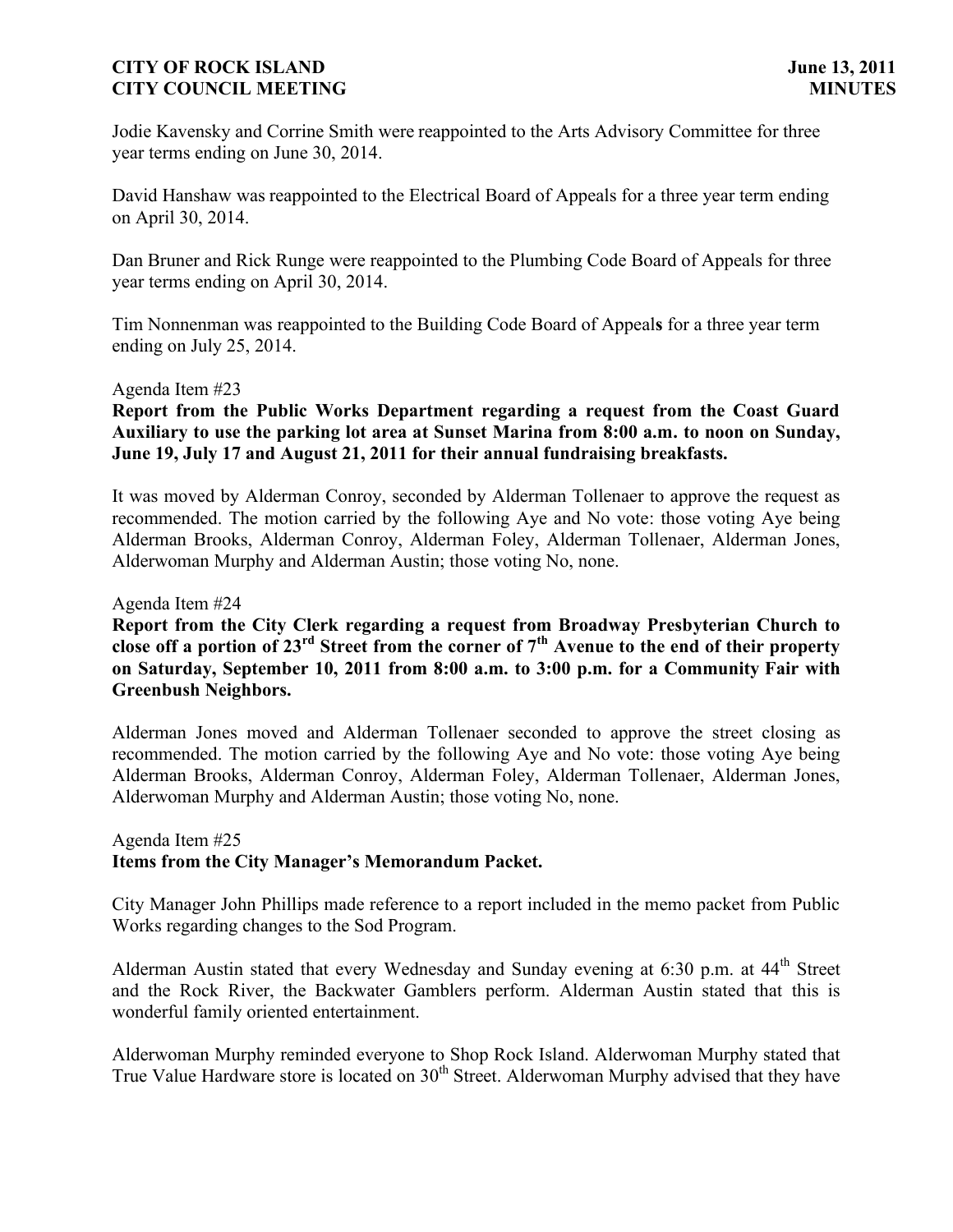Jodie Kavensky and Corrine Smith were reappointed to the Arts Advisory Committee for three year terms ending on June 30, 2014.

David Hanshaw was reappointed to the Electrical Board of Appeals for a three year term ending on April 30, 2014.

Dan Bruner and Rick Runge were reappointed to the Plumbing Code Board of Appeals for three year terms ending on April 30, 2014.

Tim Nonnenman was reappointed to the Building Code Board of Appeal**s** for a three year term ending on July 25, 2014.

## Agenda Item #23

## **Report from the Public Works Department regarding a request from the Coast Guard Auxiliary to use the parking lot area at Sunset Marina from 8:00 a.m. to noon on Sunday, June 19, July 17 and August 21, 2011 for their annual fundraising breakfasts.**

It was moved by Alderman Conroy, seconded by Alderman Tollenaer to approve the request as recommended. The motion carried by the following Aye and No vote: those voting Aye being Alderman Brooks, Alderman Conroy, Alderman Foley, Alderman Tollenaer, Alderman Jones, Alderwoman Murphy and Alderman Austin; those voting No, none.

Agenda Item #24

# **Report from the City Clerk regarding a request from Broadway Presbyterian Church to close off a portion of 23rd Street from the corner of 7th Avenue to the end of their property on Saturday, September 10, 2011 from 8:00 a.m. to 3:00 p.m. for a Community Fair with Greenbush Neighbors.**

Alderman Jones moved and Alderman Tollenaer seconded to approve the street closing as recommended. The motion carried by the following Aye and No vote: those voting Aye being Alderman Brooks, Alderman Conroy, Alderman Foley, Alderman Tollenaer, Alderman Jones, Alderwoman Murphy and Alderman Austin; those voting No, none.

# Agenda Item #25 **Items from the City Manager's Memorandum Packet.**

City Manager John Phillips made reference to a report included in the memo packet from Public Works regarding changes to the Sod Program.

Alderman Austin stated that every Wednesday and Sunday evening at 6:30 p.m. at 44<sup>th</sup> Street and the Rock River, the Backwater Gamblers perform. Alderman Austin stated that this is wonderful family oriented entertainment.

Alderwoman Murphy reminded everyone to Shop Rock Island. Alderwoman Murphy stated that True Value Hardware store is located on 30<sup>th</sup> Street. Alderwoman Murphy advised that they have